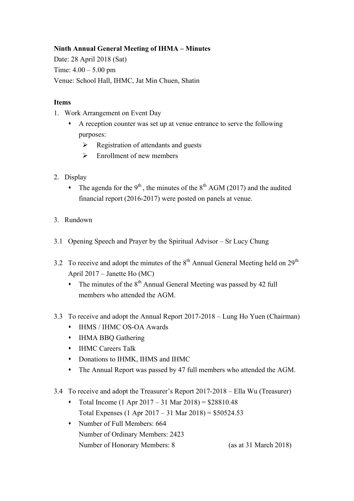## **Ninth Annual General Meeting of IHMA – Minutes**

Date: 28 April 2018 (Sat) Time:  $4.00 - 5.00$  pm Venue: School Hall, IHMC, Jat Min Chuen, Shatin

## **Items**

- 1. Work Arrangement on Event Day
	- $\bullet$  A reception counter was set up at venue entrance to serve the following purposes:
		- $\triangleright$  Registration of attendants and guests
		- $\triangleright$  Enrollment of new members
- 2. Display
	- The agenda for the 9<sup>th</sup>, the minutes of the 8<sup>th</sup> AGM (2017) and the audited financial report (2016-2017) were posted on panels at venue.
- 3. Rundown
- 3.1 Opening Speech and Prayer by the Spiritual Advisor Sr Lucy Chung
- 3.2 To receive and adopt the minutes of the  $8<sup>th</sup>$  Annual General Meeting held on  $29<sup>th</sup>$ April 2017 – Janette Ho (MC)
	- $\cdot$  The minutes of the 8<sup>th</sup> Annual General Meeting was passed by 42 full members who attended the AGM.
- 3.3 To receive and adopt the Annual Report 2017-2018 Lung Ho Yuen (Chairman)
	- s IHMS / IHMC OS-OA Awards
	- IHMA BBQ Gathering
	- **•** IHMC Careers Talk
	- $\bullet$  Donations to IHMK, IHMS and IHMC
	- The Annual Report was passed by 47 full members who attended the AGM.
- 3.4 To receive and adopt the Treasurer's Report 2017-2018 Ella Wu (Treasurer)
	- Total Income (1 Apr  $2017 31$  Mar  $2018$ ) = \$28810.48 Total Expenses (1 Apr 2017 – 31 Mar 2018) = \$50524.53
	- Number of Full Members: 664 Number of Ordinary Members: 2423 Number of Honorary Members: 8 (as at 31 March 2018)